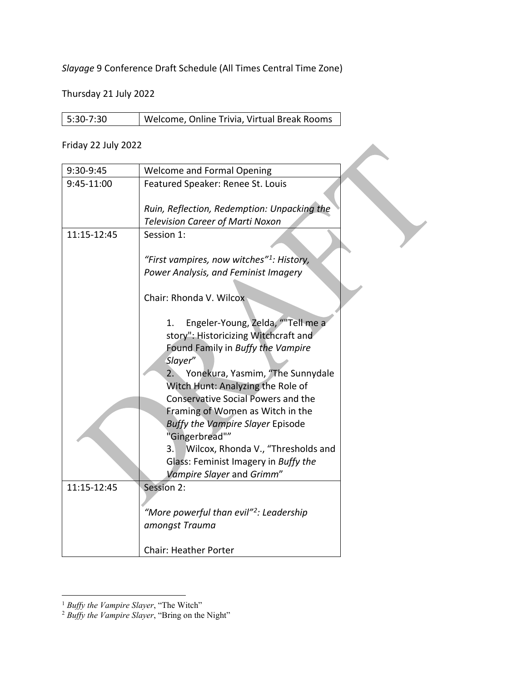*Slayage* 9 Conference Draft Schedule (All Times Central Time Zone)

Thursday 21 July 2022

| 5:30-7:30 | Welcome, Online Trivia, Virtual Break Rooms |
|-----------|---------------------------------------------|
|           |                                             |

## Friday 22 July 2022

| 9:30-9:45   | <b>Welcome and Formal Opening</b>                     |
|-------------|-------------------------------------------------------|
| 9:45-11:00  | Featured Speaker: Renee St. Louis                     |
|             |                                                       |
|             | Ruin, Reflection, Redemption: Unpacking the           |
|             | <b>Television Career of Marti Noxon</b>               |
| 11:15-12:45 | Session 1:                                            |
|             |                                                       |
|             | "First vampires, now witches" <sup>1</sup> : History, |
|             | Power Analysis, and Feminist Imagery                  |
|             |                                                       |
|             | Chair: Rhonda V. Wilcox                               |
|             |                                                       |
|             | Engeler-Young, Zelda, "Tell me a<br>1.                |
|             | story": Historicizing Witchcraft and                  |
|             | Found Family in Buffy the Vampire                     |
|             | Slayer"                                               |
|             | Yonekura, Yasmim, "The Sunnydale<br>2.                |
|             | Witch Hunt: Analyzing the Role of                     |
|             | <b>Conservative Social Powers and the</b>             |
|             | Framing of Women as Witch in the                      |
|             | <b>Buffy the Vampire Slayer Episode</b>               |
|             | "Gingerbread""                                        |
|             | Wilcox, Rhonda V., "Thresholds and<br>3.              |
|             | Glass: Feminist Imagery in Buffy the                  |
|             | Vampire Slayer and Grimm"                             |
| 11:15-12:45 | Session 2:                                            |
|             |                                                       |
|             | "More powerful than evil" <sup>2</sup> : Leadership   |
|             | amongst Trauma                                        |
|             |                                                       |
|             | <b>Chair: Heather Porter</b>                          |

<span id="page-0-0"></span> <sup>1</sup> *Buffy the Vampire Slayer*, "The Witch"

<span id="page-0-1"></span><sup>2</sup> *Buffy the Vampire Slayer*, "Bring on the Night"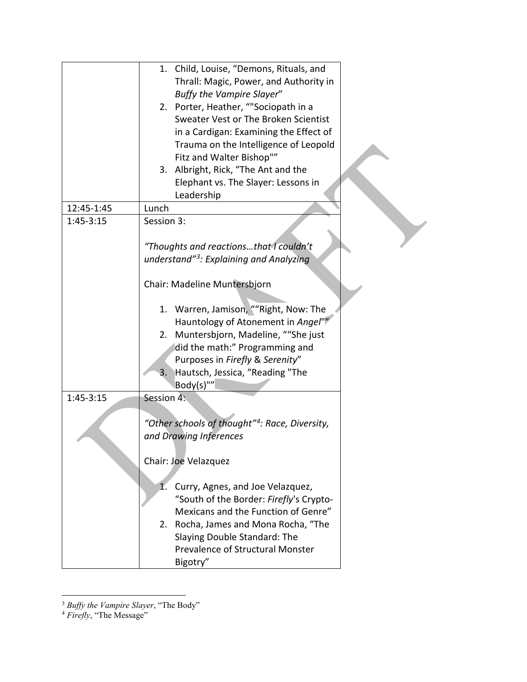|             | 1. Child, Louise, "Demons, Rituals, and<br>Thrall: Magic, Power, and Authority in<br>Buffy the Vampire Slayer"<br>2. Porter, Heather, ""Sociopath in a<br>Sweater Vest or The Broken Scientist<br>in a Cardigan: Examining the Effect of<br>Trauma on the Intelligence of Leopold<br>Fitz and Walter Bishop"" |
|-------------|---------------------------------------------------------------------------------------------------------------------------------------------------------------------------------------------------------------------------------------------------------------------------------------------------------------|
|             | 3. Albright, Rick, "The Ant and the<br>Elephant vs. The Slayer: Lessons in                                                                                                                                                                                                                                    |
|             | Leadership                                                                                                                                                                                                                                                                                                    |
| 12:45-1:45  | Lunch                                                                                                                                                                                                                                                                                                         |
| $1:45-3:15$ | Session 3:<br>"Thoughts and reactionsthat I couldn't<br>understand" <sup>3</sup> : Explaining and Analyzing                                                                                                                                                                                                   |
|             | Chair: Madeline Muntersbjorn                                                                                                                                                                                                                                                                                  |
|             | 1. Warren, Jamison, ""Right, Now: The<br>Hauntology of Atonement in Angel""<br>2. Muntersbjorn, Madeline, ""She just<br>did the math:" Programming and<br>Purposes in Firefly & Serenity"<br>Hautsch, Jessica, "Reading "The<br>3.<br>Body(s)""                                                               |
| $1:45-3:15$ | Session 4:                                                                                                                                                                                                                                                                                                    |
|             | "Other schools of thought" <sup>4</sup> : Race, Diversity,<br>and Drawing Inferences<br>Chair: Joe Velazquez                                                                                                                                                                                                  |
|             | 1.<br>Curry, Agnes, and Joe Velazquez,<br>"South of the Border: Firefly's Crypto-<br>Mexicans and the Function of Genre"<br>2. Rocha, James and Mona Rocha, "The<br>Slaying Double Standard: The<br>Prevalence of Structural Monster<br>Bigotry"                                                              |

 $\overline{a}$ <sup>3</sup> *Buffy the Vampire Slayer*, "The Body"

<span id="page-1-1"></span><span id="page-1-0"></span><sup>4</sup> *Firefly*, "The Message"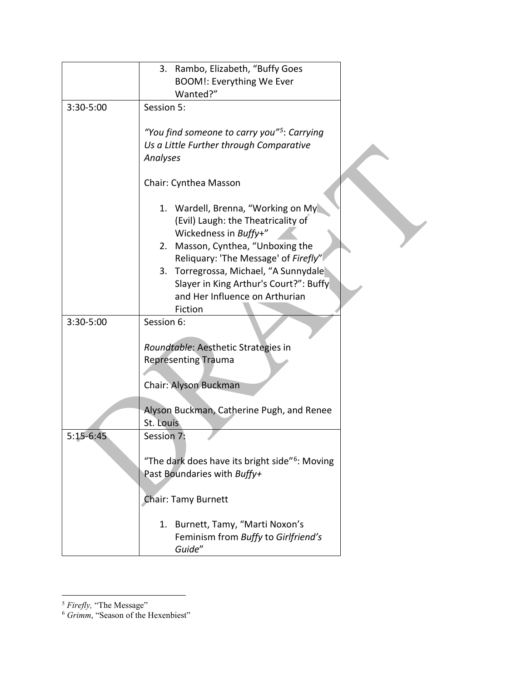|             | 3. Rambo, Elizabeth, "Buffy Goes                           |
|-------------|------------------------------------------------------------|
|             | <b>BOOM!: Everything We Ever</b>                           |
|             | Wanted?"                                                   |
| 3:30-5:00   | Session 5:                                                 |
|             |                                                            |
|             | "You find someone to carry you" <sup>5</sup> : Carrying    |
|             | Us a Little Further through Comparative                    |
|             | Analyses                                                   |
|             |                                                            |
|             | Chair: Cynthea Masson                                      |
|             |                                                            |
|             | 1. Wardell, Brenna, "Working on My                         |
|             | (Evil) Laugh: the Theatricality of                         |
|             | Wickedness in Buffy+"                                      |
|             | 2. Masson, Cynthea, "Unboxing the                          |
|             | Reliquary: 'The Message' of Firefly"                       |
|             | 3. Torregrossa, Michael, "A Sunnydale                      |
|             | Slayer in King Arthur's Court?": Buffy                     |
|             | and Her Influence on Arthurian                             |
|             | Fiction                                                    |
| 3:30-5:00   | Session 6:                                                 |
|             |                                                            |
|             | Roundtable: Aesthetic Strategies in                        |
|             | <b>Representing Trauma</b>                                 |
|             |                                                            |
|             | Chair: Alyson Buckman                                      |
|             |                                                            |
|             | Alyson Buckman, Catherine Pugh, and Renee                  |
|             | St. Louis                                                  |
| $5:15-6:45$ | Session 7:                                                 |
|             |                                                            |
|             | "The dark does have its bright side" <sup>6</sup> : Moving |
|             | Past Boundaries with Buffy+                                |
|             |                                                            |
|             | <b>Chair: Tamy Burnett</b>                                 |
|             |                                                            |
|             | 1. Burnett, Tamy, "Marti Noxon's                           |
|             | Feminism from Buffy to Girlfriend's                        |
|             |                                                            |
|             | Guide"                                                     |

<span id="page-2-0"></span> $\overline{a}$ <sup>5</sup> *Firefly,* "The Message"

<span id="page-2-1"></span><sup>6</sup> *Grimm*, "Season of the Hexenbiest"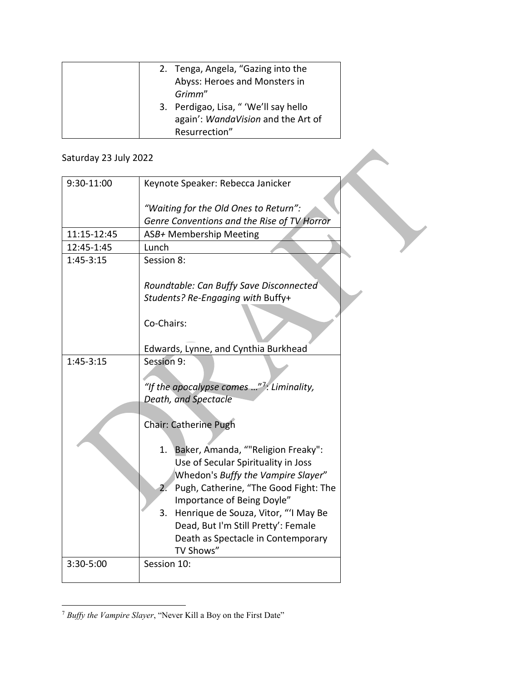| 2. Tenga, Angela, "Gazing into the<br>Abyss: Heroes and Monsters in<br>Grimm"                |
|----------------------------------------------------------------------------------------------|
| 3. Perdigao, Lisa, " 'We'll say hello<br>again': WandaVision and the Art of<br>Resurrection" |

## Saturday 23 July 2022

| Saturday 23 July 2022 |                                                       |
|-----------------------|-------------------------------------------------------|
| 9:30-11:00            | Keynote Speaker: Rebecca Janicker                     |
|                       | "Waiting for the Old Ones to Return":                 |
|                       | Genre Conventions and the Rise of TV Horror           |
| 11:15-12:45           | ASB+ Membership Meeting                               |
| 12:45-1:45            | Lunch                                                 |
| $1:45-3:15$           | Session 8:                                            |
|                       | Roundtable: Can Buffy Save Disconnected               |
|                       | Students? Re-Engaging with Buffy+                     |
|                       | Co-Chairs:                                            |
|                       |                                                       |
|                       | Edwards, Lynne, and Cynthia Burkhead                  |
| $1:45-3:15$           | Session 9:                                            |
|                       |                                                       |
|                       | "If the apocalypse comes " <sup>7</sup> : Liminality, |
|                       | Death, and Spectacle                                  |
|                       |                                                       |
|                       | <b>Chair: Catherine Pugh</b>                          |
|                       | 1. Baker, Amanda, ""Religion Freaky":                 |
|                       | Use of Secular Spirituality in Joss                   |
|                       | Whedon's Buffy the Vampire Slayer"                    |
|                       | Pugh, Catherine, "The Good Fight: The<br>2.           |
|                       | Importance of Being Doyle"                            |
|                       | Henrique de Souza, Vitor, "'I May Be<br>3.            |
|                       | Dead, But I'm Still Pretty': Female                   |
|                       | Death as Spectacle in Contemporary<br>TV Shows"       |
| 3:30-5:00             | Session 10:                                           |
|                       |                                                       |

<span id="page-3-0"></span> $\overline{a}$ <sup>7</sup> *Buffy the Vampire Slayer*, "Never Kill a Boy on the First Date"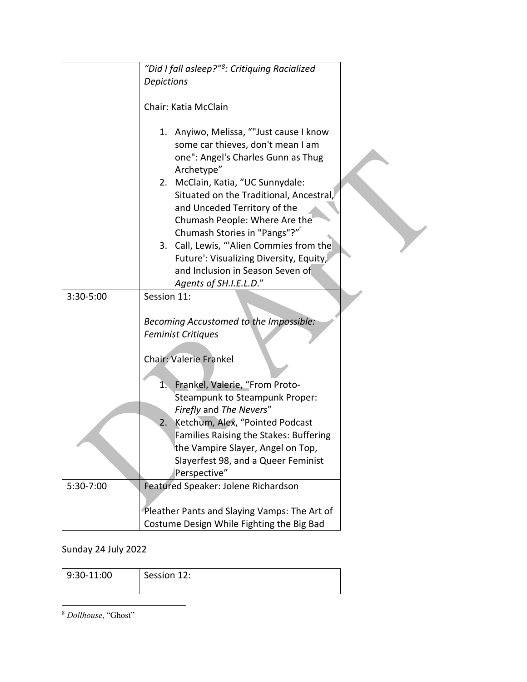|           | "Did I fall asleep?" <sup>8</sup> : Critiquing Racialized                                                                                                                                                                                                                                                                                                                                                                                                             |
|-----------|-----------------------------------------------------------------------------------------------------------------------------------------------------------------------------------------------------------------------------------------------------------------------------------------------------------------------------------------------------------------------------------------------------------------------------------------------------------------------|
|           | <b>Depictions</b>                                                                                                                                                                                                                                                                                                                                                                                                                                                     |
|           | Chair: Katia McClain                                                                                                                                                                                                                                                                                                                                                                                                                                                  |
|           | 1. Anyiwo, Melissa, ""Just cause I know<br>some car thieves, don't mean I am<br>one": Angel's Charles Gunn as Thug<br>Archetype"<br>2. McClain, Katia, "UC Sunnydale:<br>Situated on the Traditional, Ancestral,<br>and Unceded Territory of the<br>Chumash People: Where Are the<br>Chumash Stories in "Pangs"?"<br>3. Call, Lewis, "Alien Commies from the<br>Future': Visualizing Diversity, Equity,<br>and Inclusion in Season Seven of<br>Agents of SH.I.E.L.D." |
| 3:30-5:00 | Session 11:                                                                                                                                                                                                                                                                                                                                                                                                                                                           |
|           | Becoming Accustomed to the Impossible:<br><b>Feminist Critiques</b><br><b>Chair: Valerie Frankel</b><br>Frankel, Valerie, "From Proto-<br>1.<br>Steampunk to Steampunk Proper:<br>Firefly and The Nevers"<br>Ketchum, Alex, "Pointed Podcast<br>2.<br>Families Raising the Stakes: Buffering<br>the Vampire Slayer, Angel on Top,<br>Slayerfest 98, and a Queer Feminist<br>Perspective"                                                                              |
| 5:30-7:00 | Featured Speaker: Jolene Richardson                                                                                                                                                                                                                                                                                                                                                                                                                                   |
|           |                                                                                                                                                                                                                                                                                                                                                                                                                                                                       |
|           | Pleather Pants and Slaying Vamps: The Art of                                                                                                                                                                                                                                                                                                                                                                                                                          |
|           | Costume Design While Fighting the Big Bad                                                                                                                                                                                                                                                                                                                                                                                                                             |

## Sunday 24 July 2022

| $  9:30 - 11:00$ | Session 12: |
|------------------|-------------|
|------------------|-------------|

<span id="page-4-0"></span> $\overline{a}$ <sup>8</sup> *Dollhouse*, "Ghost"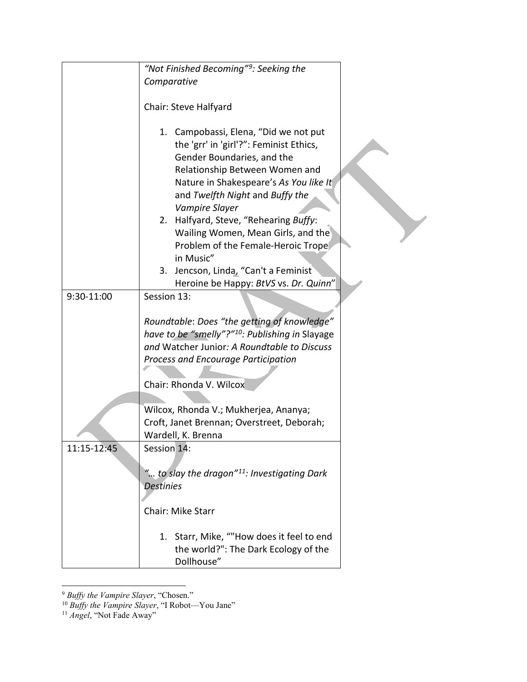|             | "Not Finished Becoming" <sup>9</sup> : Seeking the                                                                                                                                                                                              |  |
|-------------|-------------------------------------------------------------------------------------------------------------------------------------------------------------------------------------------------------------------------------------------------|--|
|             | Comparative                                                                                                                                                                                                                                     |  |
|             |                                                                                                                                                                                                                                                 |  |
|             | Chair: Steve Halfyard                                                                                                                                                                                                                           |  |
|             | 1. Campobassi, Elena, "Did we not put<br>the 'grr' in 'girl'?": Feminist Ethics,<br>Gender Boundaries, and the<br>Relationship Between Women and<br>Nature in Shakespeare's As You like It<br>and Twelfth Night and Buffy the<br>Vampire Slayer |  |
|             | 2. Halfyard, Steve, "Rehearing Buffy:<br>Wailing Women, Mean Girls, and the<br>Problem of the Female-Heroic Trope<br>in Music"                                                                                                                  |  |
|             | Jencson, Linda, "Can't a Feminist<br>3.<br>Heroine be Happy: BtVS vs. Dr. Quinn"                                                                                                                                                                |  |
| 9:30-11:00  | Session 13:                                                                                                                                                                                                                                     |  |
|             | Roundtable: Does "the getting of knowledge"<br>have to be "smelly"?" <sup>10</sup> : Publishing in Slayage<br>and Watcher Junior: A Roundtable to Discuss<br>Process and Encourage Participation<br>Chair: Rhonda V. Wilcox                     |  |
|             | Wilcox, Rhonda V.; Mukherjea, Ananya;<br>Croft, Janet Brennan; Overstreet, Deborah;                                                                                                                                                             |  |
| 11:15-12:45 | Wardell, K. Brenna<br>Session 14:                                                                                                                                                                                                               |  |
|             | " to slay the dragon" <sup>11</sup> : Investigating Dark<br><b>Destinies</b>                                                                                                                                                                    |  |
|             | Chair: Mike Starr                                                                                                                                                                                                                               |  |
|             | 1. Starr, Mike, ""How does it feel to end<br>the world?": The Dark Ecology of the<br>Dollhouse"                                                                                                                                                 |  |

 $\overline{a}$ <sup>9</sup> *Buffy the Vampire Slayer*, "Chosen."

<span id="page-5-1"></span><span id="page-5-0"></span><sup>10</sup> *Buffy the Vampire Slayer*, "I Robot—You Jane"

<span id="page-5-2"></span><sup>11</sup> *Angel*, "Not Fade Away"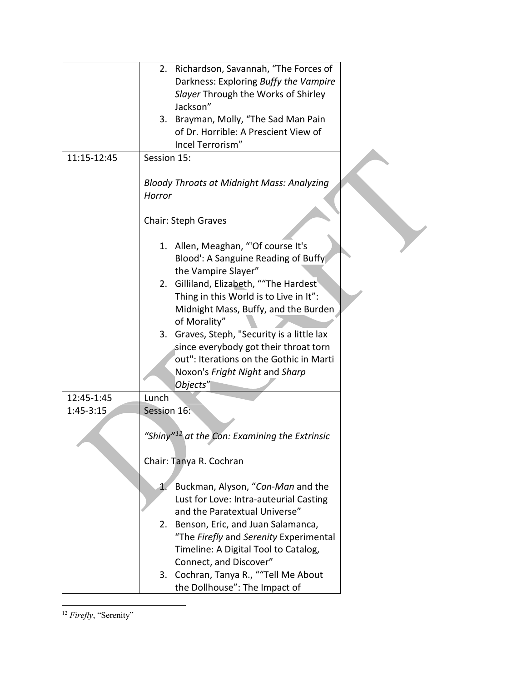<span id="page-6-0"></span>

|             | 2. Richardson, Savannah, "The Forces of                                 |
|-------------|-------------------------------------------------------------------------|
|             | Darkness: Exploring Buffy the Vampire                                   |
|             | Slayer Through the Works of Shirley                                     |
|             | Jackson"                                                                |
|             | 3. Brayman, Molly, "The Sad Man Pain                                    |
|             | of Dr. Horrible: A Prescient View of                                    |
|             | Incel Terrorism"                                                        |
| 11:15-12:45 | Session 15:                                                             |
|             | <b>Bloody Throats at Midnight Mass: Analyzing</b>                       |
|             | Horror                                                                  |
|             | <b>Chair: Steph Graves</b>                                              |
|             | 1. Allen, Meaghan, "'Of course It's                                     |
|             | Blood': A Sanguine Reading of Buffy                                     |
|             | the Vampire Slayer"                                                     |
|             | 2. Gilliland, Elizabeth, ""The Hardest                                  |
|             | Thing in this World is to Live in It":                                  |
|             | Midnight Mass, Buffy, and the Burden                                    |
|             | of Morality"                                                            |
|             | 3. Graves, Steph, "Security is a little lax                             |
|             | since everybody got their throat torn                                   |
|             | out": Iterations on the Gothic in Marti                                 |
|             | Noxon's Fright Night and Sharp                                          |
|             | Objects"                                                                |
| 12:45-1:45  | Lunch                                                                   |
| $1:45-3:15$ | Session 16:                                                             |
|             |                                                                         |
|             | "Shiny" <sup>12</sup> at the Con: Examining the Extrinsic               |
|             | Chair: Tanya R. Cochran                                                 |
|             |                                                                         |
|             | Buckman, Alyson, "Con-Man and the<br>1.                                 |
|             | Lust for Love: Intra-auteurial Casting<br>and the Paratextual Universe" |
|             |                                                                         |
|             | 2. Benson, Eric, and Juan Salamanca,                                    |
|             | "The Firefly and Serenity Experimental                                  |
|             | Timeline: A Digital Tool to Catalog,<br>Connect, and Discover"          |
|             | 3. Cochran, Tanya R., ""Tell Me About                                   |
|             | the Dollhouse": The Impact of                                           |
|             |                                                                         |